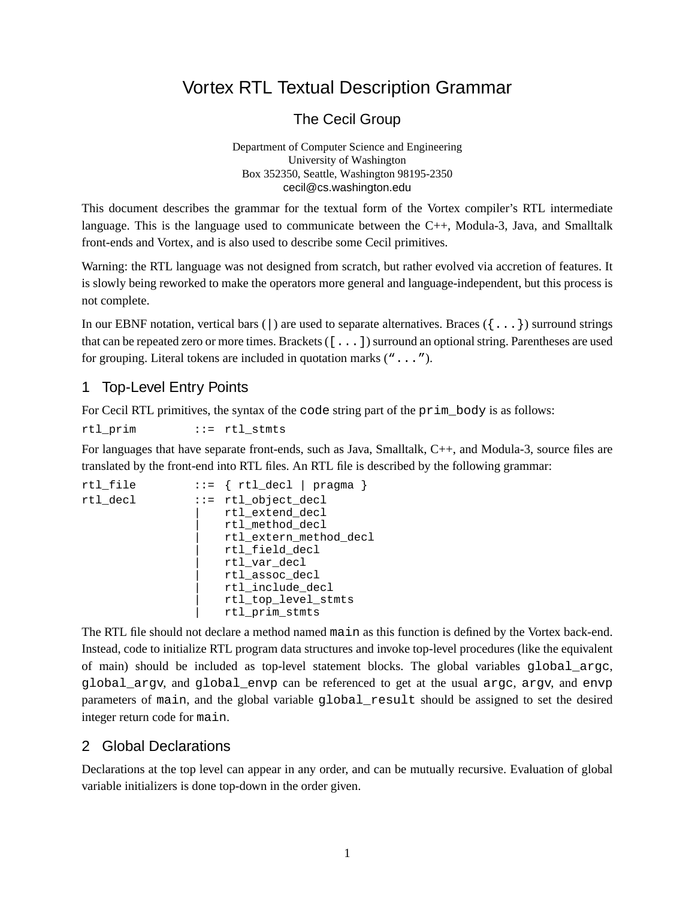# Vortex RTL Textual Description Grammar

The Cecil Group

Department of Computer Science and Engineering University of Washington Box 352350, Seattle, Washington 98195-2350 cecil@cs.washington.edu

This document describes the grammar for the textual form of the Vortex compiler's RTL intermediate language. This is the language used to communicate between the C++, Modula-3, Java, and Smalltalk front-ends and Vortex, and is also used to describe some Cecil primitives.

Warning: the RTL language was not designed from scratch, but rather evolved via accretion of features. It is slowly being reworked to make the operators more general and language-independent, but this process is not complete.

In our EBNF notation, vertical bars ( $\vert$ ) are used to separate alternatives. Braces ( $\{ \ldots \}$ ) surround strings that can be repeated zero or more times. Brackets  $( [ . . . ] )$  surround an optional string. Parentheses are used for grouping. Literal tokens are included in quotation marks ("...").

## 1 Top-Level Entry Points

For Cecil RTL primitives, the syntax of the code string part of the prim\_body is as follows:

rtl\_prim ::= rtl\_stmts

For languages that have separate front-ends, such as Java, Smalltalk, C++, and Modula-3, source files are translated by the front-end into RTL files. An RTL file is described by the following grammar:

```
rtl_file ::= { rtl_decl | pragma }
rtl_decl ::= rtl_object_decl
                     | rtl_extend_decl
                     | rtl_method_decl
                     | rtl_extern_method_decl
                     | rtl_field_decl
                     | rtl_var_decl
                     | rtl_assoc_decl
                     | rtl_include_decl
                     | rtl_top_level_stmts
                     | rtl_prim_stmts
```
The RTL file should not declare a method named main as this function is defined by the Vortex back-end. Instead, code to initialize RTL program data structures and invoke top-level procedures (like the equivalent of main) should be included as top-level statement blocks. The global variables global\_argc, global\_argv, and global\_envp can be referenced to get at the usual argc, argv, and envp parameters of main, and the global variable global\_result should be assigned to set the desired integer return code for main.

### 2 Global Declarations

Declarations at the top level can appear in any order, and can be mutually recursive. Evaluation of global variable initializers is done top-down in the order given.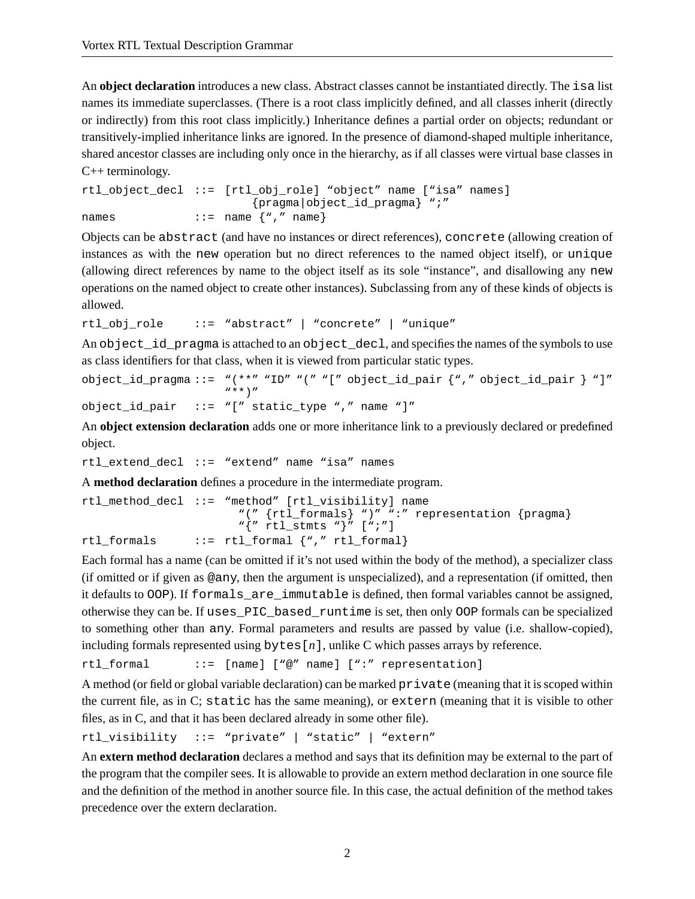An **object declaration** introduces a new class. Abstract classes cannot be instantiated directly. The isa list names its immediate superclasses. (There is a root class implicitly defined, and all classes inherit (directly or indirectly) from this root class implicitly.) Inheritance defines a partial order on objects; redundant or transitively-implied inheritance links are ignored. In the presence of diamond-shaped multiple inheritance, shared ancestor classes are including only once in the hierarchy, as if all classes were virtual base classes in C++ terminology.

```
rtl_object_decl ::= [rtl_obj_role] "object" name ["isa" names]
                         {pragma|object_id_pragma} ";"
names \cdots ::= name \{ ", " name \}
```
Objects can be abstract (and have no instances or direct references), concrete (allowing creation of instances as with the new operation but no direct references to the named object itself), or unique (allowing direct references by name to the object itself as its sole "instance", and disallowing any new operations on the named object to create other instances). Subclassing from any of these kinds of objects is allowed.

rtl\_obj\_role ::= "abstract" | "concrete" | "unique"

An object\_id\_pragma is attached to an object\_decl, and specifies the names of the symbols to use as class identifiers for that class, when it is viewed from particular static types.

```
object id pragma ::= "(**" "ID" "(" "[" object id pair {"," object id pair } "]"
                     "**)"
object_id_pair ::= "[" static_type "," name "]"
```
An **object extension declaration** adds one or more inheritance link to a previously declared or predefined object.

rtl\_extend\_decl ::= "extend" name "isa" names

A **method declaration** defines a procedure in the intermediate program.

```
rtl method decl ::= "method" [rtl visibility] name
                       "(" {rtl_formals} ")" ":" representation {pragma}
                       "\{'' rtl stmts "}" [";"]
rtl_formals ::= rtl_formal {"," rtl_formal}
```
Each formal has a name (can be omitted if it's not used within the body of the method), a specializer class (if omitted or if given as @any, then the argument is unspecialized), and a representation (if omitted, then it defaults to OOP). If formals\_are\_immutable is defined, then formal variables cannot be assigned, otherwise they can be. If uses\_PIC\_based\_runtime is set, then only OOP formals can be specialized to something other than any. Formal parameters and results are passed by value (i.e. shallow-copied), including formals represented using bytes[*n*], unlike C which passes arrays by reference.

rtl formal ::= [name] ["@" name] [":" representation]

A method (or field or global variable declaration) can be marked private (meaning that it isscoped within the current file, as in C; static has the same meaning), or extern (meaning that it is visible to other files, as in C, and that it has been declared already in some other file).

rtl\_visibility ::= "private" | "static" | "extern"

An **extern method declaration** declares a method and says that its definition may be external to the part of the program that the compiler sees. It is allowable to provide an extern method declaration in one source file and the definition of the method in another source file. In this case, the actual definition of the method takes precedence over the extern declaration.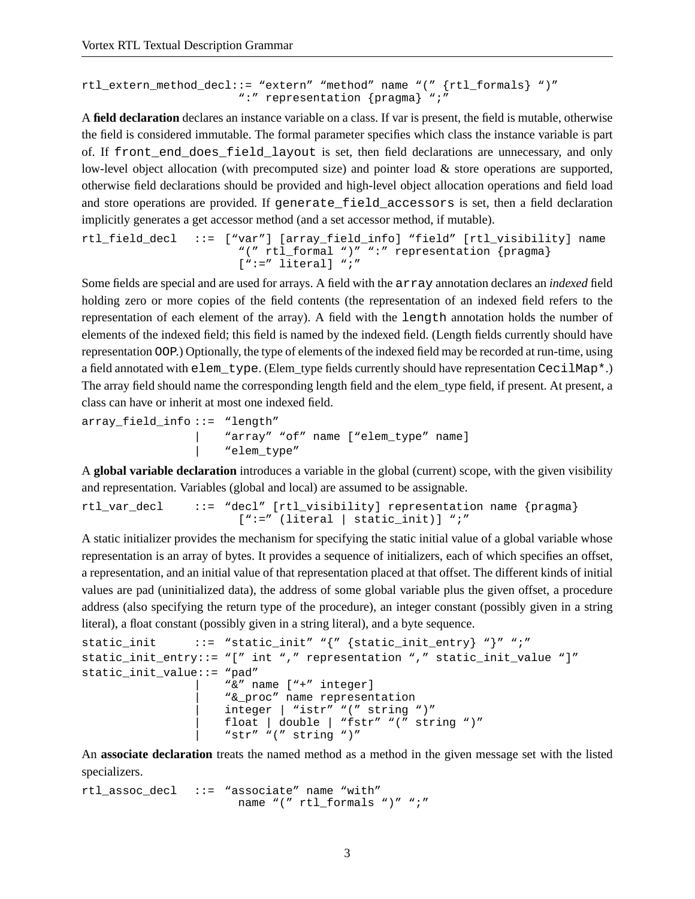```
rtl_extern_method_decl::= "extern" "method" name "(" {rtl_formals} ")"
                       ":" representation {pragma} ";"
```
A **field declaration** declares an instance variable on a class. If var is present, the field is mutable, otherwise the field is considered immutable. The formal parameter specifies which class the instance variable is part of. If front end does field layout is set, then field declarations are unnecessary, and only low-level object allocation (with precomputed size) and pointer load & store operations are supported, otherwise field declarations should be provided and high-level object allocation operations and field load and store operations are provided. If generate field accessors is set, then a field declaration implicitly generates a get accessor method (and a set accessor method, if mutable).

```
rtl field decl ::= ["var"] [array field info] "field" [rtl visibility] name
                       "(" rtl_formal ")" ":" representation {pragma}
                       [':=" literal] ";"
```
Some fields are special and are used for arrays. A field with the array annotation declares an *indexed* field holding zero or more copies of the field contents (the representation of an indexed field refers to the representation of each element of the array). A field with the length annotation holds the number of elements of the indexed field; this field is named by the indexed field. (Length fields currently should have representation OOP.) Optionally, the type of elements of the indexed field may be recorded at run-time, using a field annotated with elem\_type. (Elem\_type fields currently should have representation CecilMap\*.) The array field should name the corresponding length field and the elem\_type field, if present. At present, a class can have or inherit at most one indexed field.

```
array_field_info ::= "length"
                      | "array" "of" name ["elem_type" name]
                      "elem type"
```
A **global variable declaration** introduces a variable in the global (current) scope, with the given visibility and representation. Variables (global and local) are assumed to be assignable.

```
rtl_var_decl ::= "decl" [rtl_visibility] representation name {pragma}
                      [":=" (literal | static_init)] ";"
```
A static initializer provides the mechanism for specifying the static initial value of a global variable whose representation is an array of bytes. It provides a sequence of initializers, each of which specifies an offset, a representation, and an initial value of that representation placed at that offset. The different kinds of initial values are pad (uninitialized data), the address of some global variable plus the given offset, a procedure address (also specifying the return type of the procedure), an integer constant (possibly given in a string literal), a float constant (possibly given in a string literal), and a byte sequence.

```
static_init \cdots ::= "static_init" "{" {static_init_entry} "}" ";"
static_init_entry::= "[" int "," representation "," static_init_value "]"
static_init_value::= "pad"
                      | "&" name ["+" integer]
                      | "&_proc" name representation
                     integer | "istr" "(" string ")"
                     | float | double | "fstr" "(" string ")"
                      "str" "(" string ")"
```
An **associate declaration** treats the named method as a method in the given message set with the listed specializers.

rtl assoc decl  $::=$  "associate" name "with" name "(" rtl\_formals ")" ";"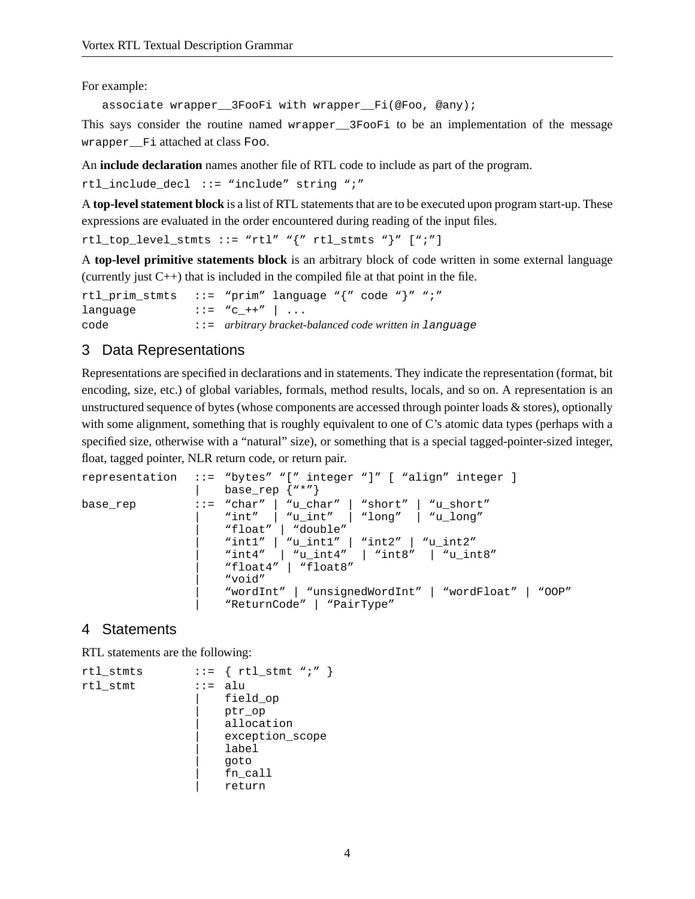For example:

associate wrapper\_\_3FooFi with wrapper\_\_Fi(@Foo, @any);

This says consider the routine named wrapper\_\_3FooFi to be an implementation of the message wrapper\_\_Fi attached at class Foo.

An **include declaration** names another file of RTL code to include as part of the program.

rtl include decl  $::=$  "include" string ";"

A **top-level statement block** is a list of RTL statements that are to be executed upon program start-up. These expressions are evaluated in the order encountered during reading of the input files.

 $rtl\_top\_level\_stmts ::= "rtl" "{" rtl\_stmts "} " [";"]$ 

A **top-level primitive statements block** is an arbitrary block of code written in some external language (currently just C++) that is included in the compiled file at that point in the file.

```
rtl_prim_stmts ::= "prim" language "{" code "}" ";"
language \qquad :: = "c_+ +" | ...code ::= arbitrary bracket-balanced code written in language
```
#### 3 Data Representations

Representations are specified in declarations and in statements. They indicate the representation (format, bit encoding, size, etc.) of global variables, formals, method results, locals, and so on. A representation is an unstructured sequence of bytes (whose components are accessed through pointer loads & stores), optionally with some alignment, something that is roughly equivalent to one of C's atomic data types (perhaps with a specified size, otherwise with a "natural" size), or something that is a special tagged-pointer-sized integer, float, tagged pointer, NLR return code, or return pair.

```
representation ::= "bytes" "[" integer "]" [ "align" integer ]
                     base_rep \{ "*"}
base_rep ::= "char" | "u_char" | "short" | "u_short"
                     | "int" | "u_int" | "long" | "u_long"
                     | "float" | "double"
                     | "int1" | "u_int1" | "int2" | "u_int2"
                     | "int4" | "u_int4" | "int8" | "u_int8"
                     | "float4" | "float8"
                     | "void"
                     | "wordInt" | "unsignedWordInt" | "wordFloat" | "OOP"
                     | "ReturnCode" | "PairType"
```
#### 4 Statements

RTL statements are the following:

```
rtl_stmts \qquad ::= \{ rtl\_stmt "i" \}rtl_stmt ::= alu
                      | field_op
                      | ptr_op
                      allocation
                      | exception_scope
                      | label
                      | goto
                      | fn_call
                      return
```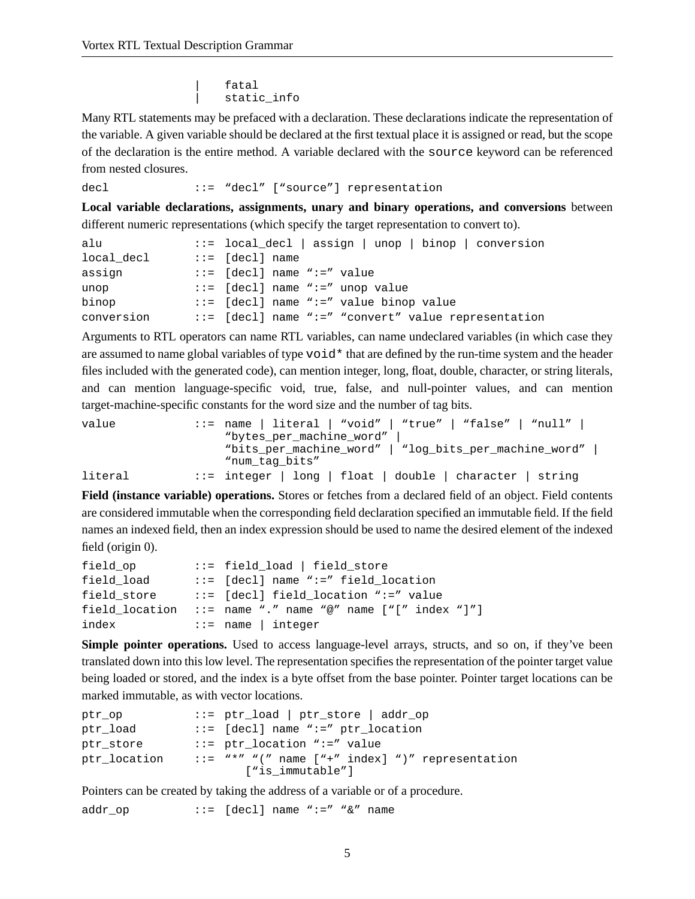fatal static\_info

Many RTL statements may be prefaced with a declaration. These declarations indicate the representation of the variable. A given variable should be declared at the first textual place it is assigned or read, but the scope of the declaration is the entire method. A variable declared with the source keyword can be referenced from nested closures.

decl ::= "decl" ["source"] representation

**Local variable declarations, assignments, unary and binary operations, and conversions** between different numeric representations (which specify the target representation to convert to).

| alu        | $::=$ local_decl   assign   unop   binop   conversion |
|------------|-------------------------------------------------------|
| local decl | $::=$ [decl] name                                     |
| assign     | $::=$ [decl] name ":=" value                          |
| unop       | $::=$ [decl] name " $:=$ " unop value                 |
| binop      | $::=$ [decl] name ":=" value binop value              |
| conversion | ::= [decl] name ":=" "convert" value representation   |

Arguments to RTL operators can name RTL variables, can name undeclared variables (in which case they are assumed to name global variables of type  $\text{void}^*$  that are defined by the run-time system and the header files included with the generated code), can mention integer, long, float, double, character, or string literals, and can mention language-specific void, true, false, and null-pointer values, and can mention target-machine-specific constants for the word size and the number of tag bits.

| value   | $::=$ name   literal   "void"   "true"   "false"   "null"       |
|---------|-----------------------------------------------------------------|
|         | "bytes_per_machine_word"                                        |
|         | "bits_per_machine_word"   "log_bits_per_machine_word"           |
|         | "num tag bits"                                                  |
| literal | $\cdot$ := integer   long   float   double   character   string |

**Field (instance variable) operations.** Stores or fetches from a declared field of an object. Field contents are considered immutable when the corresponding field declaration specified an immutable field. If the field names an indexed field, then an index expression should be used to name the desired element of the indexed field (origin 0).

| field_op       | ::= field_load   field_store                               |
|----------------|------------------------------------------------------------|
| field load     | $::=$ [decl] name ":=" field location                      |
| field store    | $ ::=$ [decl] field location ":=" value                    |
| field location | $::=$ name "." name "@" name $[$ " $[$ " index " $]$ " $]$ |
| index          | $ ::= \text{name}   \text{integer}$                        |

**Simple pointer operations.** Used to access language-level arrays, structs, and so on, if they've been translated down into this low level. The representation specifies the representation of the pointer target value being loaded or stored, and the index is a byte offset from the base pointer. Pointer target locations can be marked immutable, as with vector locations.

```
ptr_op ::= ptr_load | ptr_store | addr_op
ptr_load ::= [decl] name ":=" ptr_location
ptr_store ::= ptr_location ":=" value
ptr_location ::= "*" "(" name ["+" index] ")" representation
                     ["is_immutable"]
```
Pointers can be created by taking the address of a variable or of a procedure.

addr\_op ::= [decl] name ":=" "&" name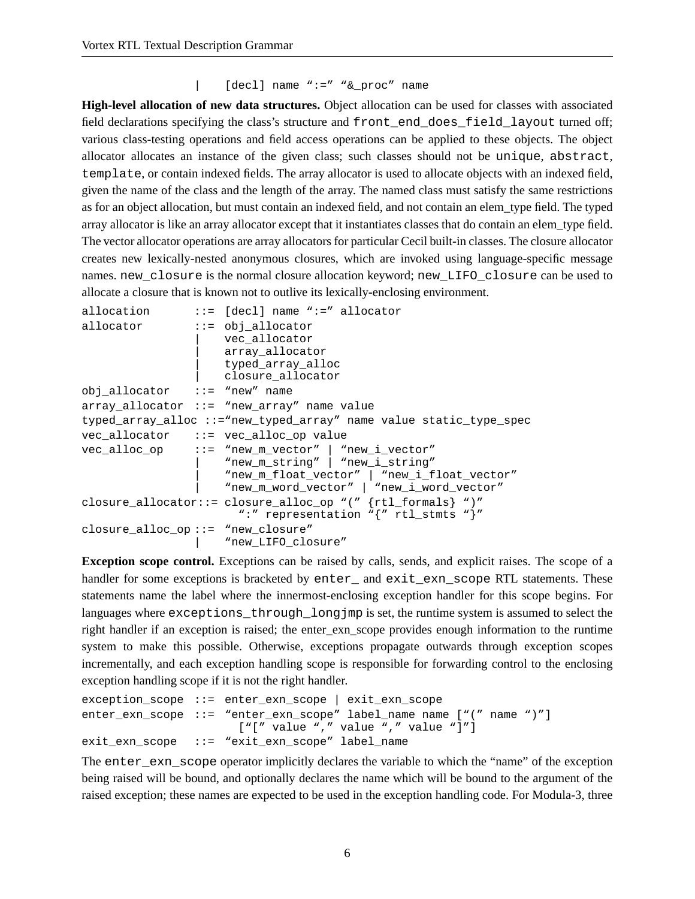```
| [decl] name ":=" "&_proc" name
```
**High-level allocation of new data structures.** Object allocation can be used for classes with associated field declarations specifying the class's structure and front\_end\_does\_field\_layout turned off; various class-testing operations and field access operations can be applied to these objects. The object allocator allocates an instance of the given class; such classes should not be unique, abstract, template, or contain indexed fields. The array allocator is used to allocate objects with an indexed field, given the name of the class and the length of the array. The named class must satisfy the same restrictions as for an object allocation, but must contain an indexed field, and not contain an elem\_type field. The typed array allocator is like an array allocator except that it instantiates classes that do contain an elem\_type field. The vector allocator operations are array allocators for particular Cecil built-in classes. The closure allocator creates new lexically-nested anonymous closures, which are invoked using language-specific message names. new\_closure is the normal closure allocation keyword; new\_LIFO\_closure can be used to allocate a closure that is known not to outlive its lexically-enclosing environment.

```
allocation ::= [decl] name ":=" allocator
allocator ::= obj allocator
                    vec allocator
                    array_allocator
                     | typed_array_alloc
                    closure allocator
obj_allocator ::= "new" name
array_allocator ::= "new_array" name value
typed_array_alloc ::="new_typed_array" name value static_type_spec
vec_allocator ::= vec_alloc_op value
vec_alloc_op ::= "new_m_vector" | "new_i_vector"
                    | "new_m_string" | "new_i_string"
                    | "new_m_float_vector" | "new_i_float_vector"
                    | "new_m_word_vector" | "new_i_word_vector"
closure_allocator::= closure_alloc_op "(" {rtl_formals} ")"
                      ":" representation "{" rtl_stmts "}"
closure_alloc_op ::= "new_closure"
                     | "new_LIFO_closure"
```
**Exception scope control.** Exceptions can be raised by calls, sends, and explicit raises. The scope of a handler for some exceptions is bracketed by enter\_ and exit\_exn\_scope RTL statements. These statements name the label where the innermost-enclosing exception handler for this scope begins. For languages where exceptions\_through\_longjmp is set, the runtime system is assumed to select the right handler if an exception is raised; the enter\_exn\_scope provides enough information to the runtime system to make this possible. Otherwise, exceptions propagate outwards through exception scopes incrementally, and each exception handling scope is responsible for forwarding control to the enclosing exception handling scope if it is not the right handler.

```
exception_scope ::= enter_exn_scope | exit_exn_scope
enter_exn_scope ::= "enter_exn_scope" label_name name ["(" name ")"]
                      ["[" value "," value "," value "]"]
exit_exn_scope ::= "exit_exn_scope" label_name
```
The enter\_exn\_scope operator implicitly declares the variable to which the "name" of the exception being raised will be bound, and optionally declares the name which will be bound to the argument of the raised exception; these names are expected to be used in the exception handling code. For Modula-3, three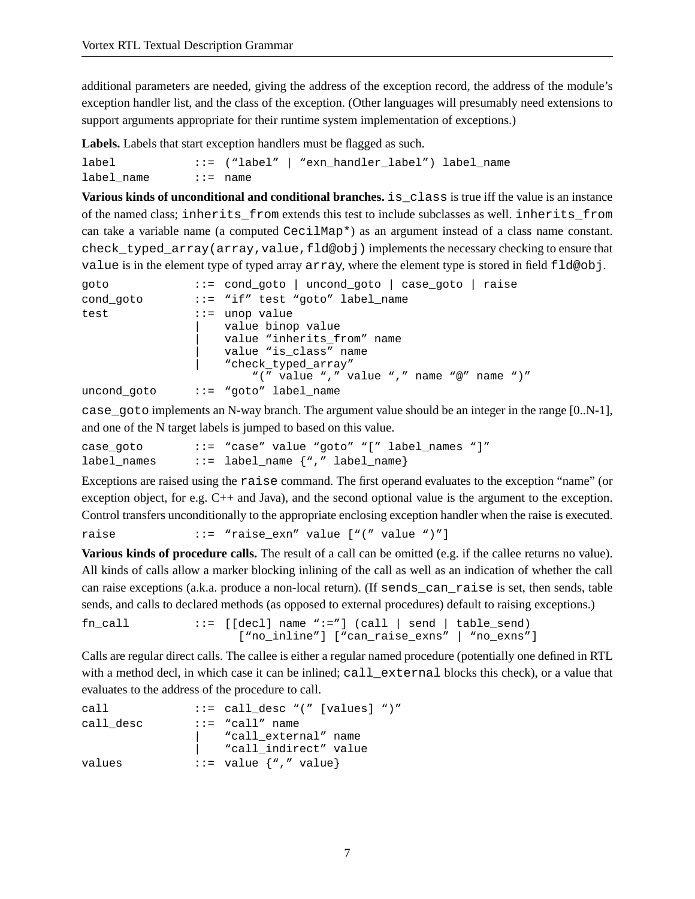additional parameters are needed, giving the address of the exception record, the address of the module's exception handler list, and the class of the exception. (Other languages will presumably need extensions to support arguments appropriate for their runtime system implementation of exceptions.)

**Labels.** Labels that start exception handlers must be flagged as such.

```
label ::= ("label" | "exn_handler_label") label_name
label name ::= name
```
**Various kinds of unconditional and conditional branches.** is\_class is true iff the value is an instance of the named class; inherits\_from extends this test to include subclasses as well. inherits\_from can take a variable name (a computed CecilMap\*) as an argument instead of a class name constant. check\_typed\_array(array,value,fld@obj) implements the necessary checking to ensure that value is in the element type of typed array array, where the element type is stored in field fld@obj.

| goto        | ::= cond_goto   uncond_goto   case_goto   raise                                                                                                                   |
|-------------|-------------------------------------------------------------------------------------------------------------------------------------------------------------------|
| cond goto   | $ ::= "if" test "qoto" label name$                                                                                                                                |
| test        | $ ::=$ unop value<br>value binop value<br>value "inherits from" name<br>value "is class" name<br>"check_typed_array"<br>"(" value "," value "," name "@" name ")" |
| uncond goto | ::= "goto" label name:                                                                                                                                            |

case goto implements an N-way branch. The argument value should be an integer in the range  $[0..N-1]$ , and one of the N target labels is jumped to based on this value.

| case goto   | $::=$ "case" value "goto" "[" label names "]" |  |
|-------------|-----------------------------------------------|--|
| label names | $::=$ label_name $\{$ ", " label_name}        |  |

Exceptions are raised using the raise command. The first operand evaluates to the exception "name" (or exception object, for e.g. C++ and Java), and the second optional value is the argument to the exception. Control transfers unconditionally to the appropriate enclosing exception handler when the raise is executed.

raise  $::=$  "raise\_exn" value ["(" value ")"]

**Various kinds of procedure calls.** The result of a call can be omitted (e.g. if the callee returns no value). All kinds of calls allow a marker blocking inlining of the call as well as an indication of whether the call can raise exceptions (a.k.a. produce a non-local return). (If sends\_can\_raise is set, then sends, table sends, and calls to declared methods (as opposed to external procedures) default to raising exceptions.)

```
fn call ::= [[decl] name ":="] (call | send | table send)
                     ["no_inline"] ["can_raise_exns" | "no_exns"]
```
Calls are regular direct calls. The callee is either a regular named procedure (potentially one defined in RTL with a method decl, in which case it can be inlined; call\_external blocks this check), or a value that evaluates to the address of the procedure to call.

| call      | $::=$ call desc "(" [values] ")" |
|-----------|----------------------------------|
| call desc | $::=$ "call" name                |
|           | "call_external" name             |
|           | "call_indirect" value            |
| values    | $ ::=$ value $\{$ ", " value}    |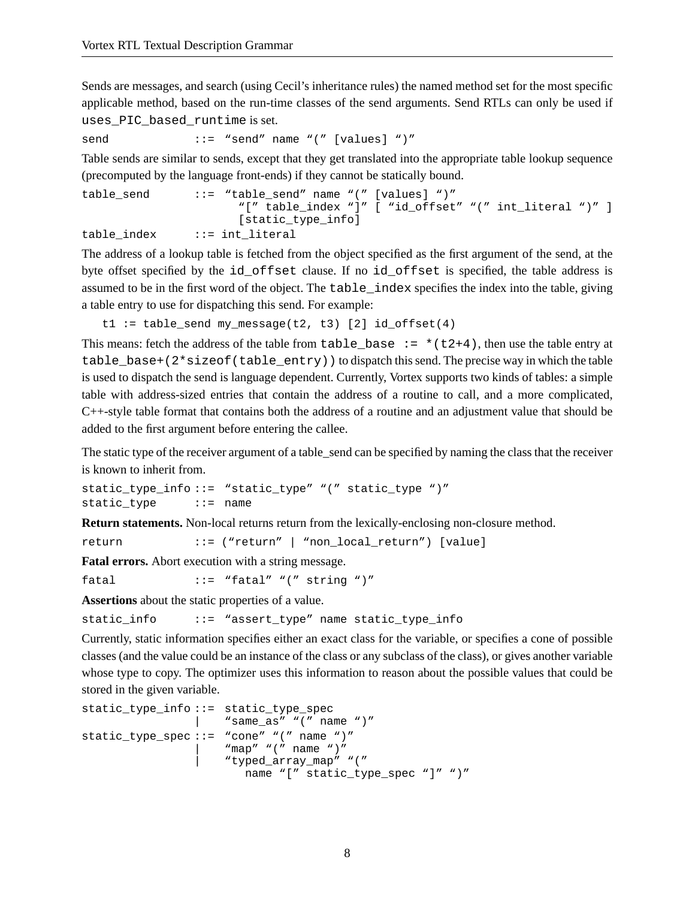Sends are messages, and search (using Cecil's inheritance rules) the named method set for the most specific applicable method, based on the run-time classes of the send arguments. Send RTLs can only be used if uses PIC based runtime is set.

```
send ::= "send" name "(" [values] ")"
```
Table sends are similar to sends, except that they get translated into the appropriate table lookup sequence (precomputed by the language front-ends) if they cannot be statically bound.

```
table send ::= "table send" name "(" [values] ")"
                      "[" table_index "]" [ "id_offset" "(" int_literal ")" ]
                     [static_type_info]
table_index ::= int_literal
```
The address of a lookup table is fetched from the object specified as the first argument of the send, at the byte offset specified by the id\_offset clause. If no id\_offset is specified, the table address is assumed to be in the first word of the object. The table\_index specifies the index into the table, giving a table entry to use for dispatching this send. For example:

```
t1 := table\_send my_message(t2, t3) [2] id\_offset(4)
```
This means: fetch the address of the table from table\_base  $:=$  \*(t2+4), then use the table entry at table\_base+( $2*size$ of(table\_entry)) to dispatch this send. The precise way in which the table is used to dispatch the send is language dependent. Currently, Vortex supports two kinds of tables: a simple table with address-sized entries that contain the address of a routine to call, and a more complicated, C++-style table format that contains both the address of a routine and an adjustment value that should be added to the first argument before entering the callee.

The static type of the receiver argument of a table send can be specified by naming the class that the receiver is known to inherit from.

static type info::= "static type" "(" static type ")" static\_type ::= name

**Return statements.** Non-local returns return from the lexically-enclosing non-closure method.

return ::= ("return" | "non\_local\_return") [value]

**Fatal errors.** Abort execution with a string message.

fatal  $::=$  "fatal" "(" string ")"

**Assertions** about the static properties of a value.

static\_info ::= "assert\_type" name static\_type\_info

Currently, static information specifies either an exact class for the variable, or specifies a cone of possible classes (and the value could be an instance of the class or any subclass of the class), or gives another variable whose type to copy. The optimizer uses this information to reason about the possible values that could be stored in the given variable.

```
static_type_info ::= static_type_spec
                     | "same_as" "(" name ")"
static_type_spec ::= "cone" "(" name ")"
                      "map" "(" name ")"
                      | "typed_array_map" "("
                        name "[" static_type_spec "]" ")"
```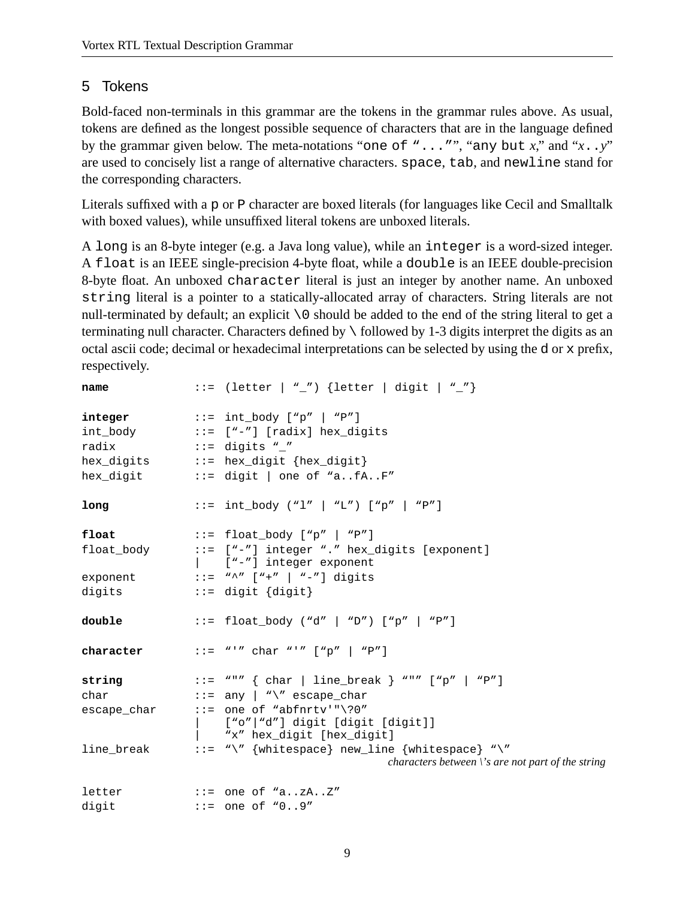## 5 Tokens

Bold-faced non-terminals in this grammar are the tokens in the grammar rules above. As usual, tokens are defined as the longest possible sequence of characters that are in the language defined by the grammar given below. The meta-notations "one of "..."", "any but *x*," and "*x*..*y*" are used to concisely list a range of alternative characters. space, tab, and newline stand for the corresponding characters.

Literals suffixed with a p or P character are boxed literals (for languages like Cecil and Smalltalk with boxed values), while unsuffixed literal tokens are unboxed literals.

A long is an 8-byte integer (e.g. a Java long value), while an integer is a word-sized integer. A float is an IEEE single-precision 4-byte float, while a double is an IEEE double-precision 8-byte float. An unboxed character literal is just an integer by another name. An unboxed string literal is a pointer to a statically-allocated array of characters. String literals are not null-terminated by default; an explicit \0 should be added to the end of the string literal to get a terminating null character. Characters defined by \ followed by 1-3 digits interpret the digits as an octal ascii code; decimal or hexadecimal interpretations can be selected by using the d or x prefix, respectively.

| name       | ::= (letter   "_") {letter   digit   "_"}                                                                       |
|------------|-----------------------------------------------------------------------------------------------------------------|
|            | $integer$ ::= $int\_body$ ["p"   "P"]                                                                           |
|            | int_body ::= ["-"] [radix] hex_digits                                                                           |
| radix      | $\cdot \cdot =$ digits "_"                                                                                      |
|            | hex_digits ::= hex_digit {hex_digit}                                                                            |
|            | hex_digit $\cdots$ := digit   one of "afAF"                                                                     |
| long       | ::= int_body ("1"   "L") ["p"   "P"]                                                                            |
| float      | ::= float_body ["p"   "P"]                                                                                      |
|            | float_body ::= ["-"] integer "." hex_digits [exponent]<br>  ["-"] integer exponent                              |
|            | exponent $::=$ "^" ["+"   "-"] digits                                                                           |
| digits     | $::=$ digit $\{ digit\}$                                                                                        |
| double     | ::= float_body ("d"   "D") ["p"   "P"]                                                                          |
| character  | $ ::= "''" char "'' " ["p"   "P"]$                                                                              |
|            | string $::=$ "" { char   line_break } "" ["p"   "P"]                                                            |
| char       | $::=$ any $ $ "\" escape_char                                                                                   |
|            | escape_char ::= one of "abfnrtv'"\?0"                                                                           |
|            | ["o" "d"] digit [digit [digit]]<br>"x" hex_digit [hex_digit]                                                    |
| line_break | ::= "\" {whitespace} new_line {whitespace} "\"<br>characters between $\backslash$ 's are not part of the string |
| letter     | $\cdots$ = one of "azAZ"                                                                                        |
| digit      | $::=$ one of "09"                                                                                               |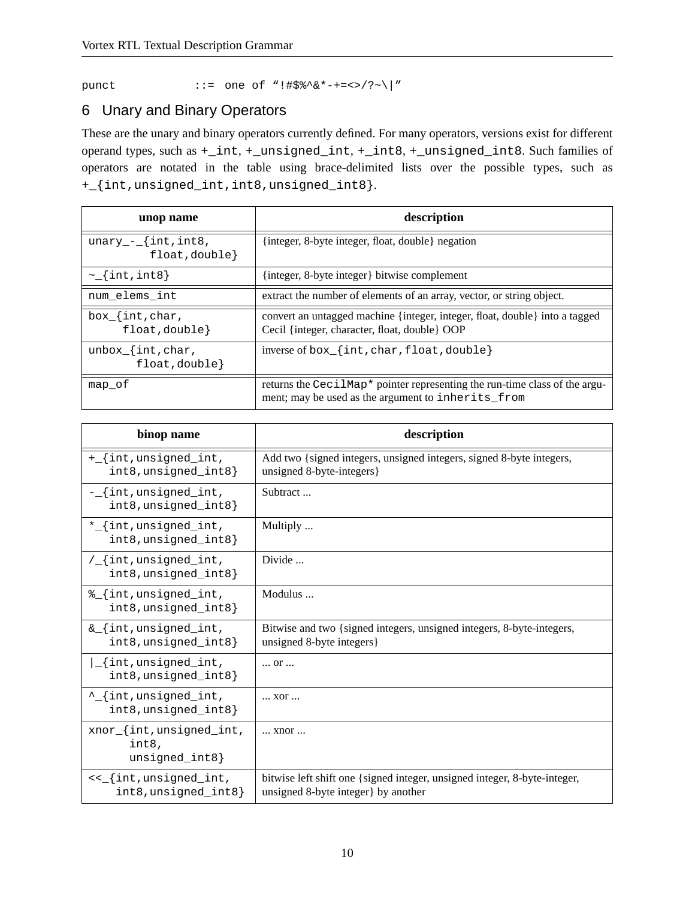punct ::= one of "!#\$%^&\*-+=<>/?~\|"

## 6 Unary and Binary Operators

These are the unary and binary operators currently defined. For many operators, versions exist for different operand types, such as +\_int, +\_unsigned\_int, +\_int8, +\_unsigned\_int8. Such families of operators are notated in the table using brace-delimited lists over the possible types, such as +\_{int,unsigned\_int,int8,unsigned\_int8}.

| unop name                                    | description                                                                                                                      |
|----------------------------------------------|----------------------------------------------------------------------------------------------------------------------------------|
| $unary_{-}$ {int, int8,<br>$float, double\}$ | {integer, 8-byte integer, float, double} negation                                                                                |
| $\sim$ {int, int8}                           | {integer, 8-byte integer} bitwise complement                                                                                     |
| num_elems_int                                | extract the number of elements of an array, vector, or string object.                                                            |
| $box$ [int, char,<br>float, double}          | convert an untagged machine {integer, integer, float, double} into a tagged<br>Cecil {integer, character, float, double} OOP     |
| unbox $\{int, char,$<br>float, double}       | inverse of $box$ [int, char, float, double}                                                                                      |
| map of                                       | returns the CecilMap* pointer representing the run-time class of the argu-<br>ment; may be used as the argument to inherits_from |

| binop name                                              | description                                                                                                       |
|---------------------------------------------------------|-------------------------------------------------------------------------------------------------------------------|
| +_{int,unsigned_int,<br>$int8$ , unsigned $int8$        | Add two {signed integers, unsigned integers, signed 8-byte integers,<br>unsigned 8-byte-integers}                 |
| -_{int,unsigned_int,<br>int8, unsigned_int8}            | Subtract                                                                                                          |
| *_{int,unsigned_int,<br>int8, unsigned_int8}            | Multiply                                                                                                          |
| $/$ {int, unsigned_int,<br>int8, unsigned_int8}         | Divide                                                                                                            |
| %_{int,unsigned_int,<br>int8, unsigned_int8}            | Modulus                                                                                                           |
| & {int, unsigned_int,<br>int8, unsigned_int8}           | Bitwise and two {signed integers, unsigned integers, 8-byte-integers,<br>unsigned 8-byte integers }               |
| {int,unsigned_int,<br>int8, unsigned_int8}              | $$ Or $$                                                                                                          |
| ^_{int,unsigned_int,<br>int8, unsigned_int8}            | XOI                                                                                                               |
| xnor_{int, unsigned_int,<br>int8.<br>$unsigned\_int8$ } | xnor                                                                                                              |
| <<_{int,unsigned_int,<br>int8, unsigned_int8}           | bitwise left shift one {signed integer, unsigned integer, 8-byte-integer,<br>unsigned 8-byte integer } by another |